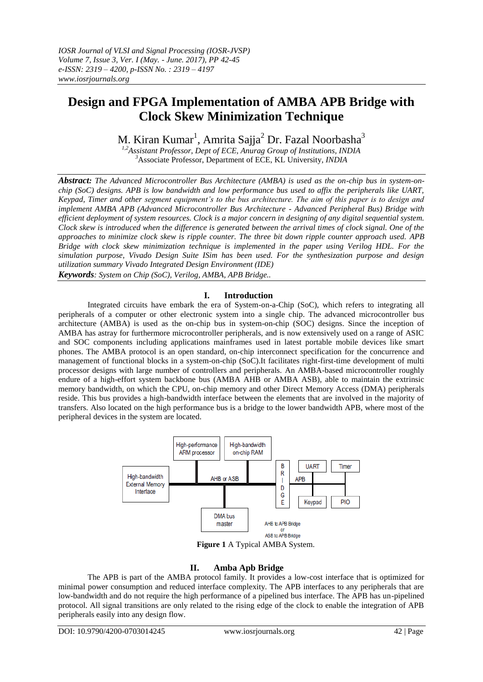# **Design and FPGA Implementation of AMBA APB Bridge with Clock Skew Minimization Technique**

M. Kiran Kumar<sup>1</sup>, Amrita Sajja<sup>2</sup> Dr. Fazal Noorbasha<sup>3</sup>

*1,2Assistant Professor, Dept of ECE, Anurag Group of Institutions, INDIA <sup>3</sup>*Associate Professor, Department of ECE, KL University*, INDIA*

*Abstract: The Advanced Microcontroller Bus Architecture (AMBA) is used as the on-chip bus in system-onchip (SoC) designs. APB is low bandwidth and low performance bus used to affix the peripherals like UART, Keypad, Timer and other segment equipment's to the bus architecture. The aim of this paper is to design and implement AMBA APB (Advanced Microcontroller Bus Architecture - Advanced Peripheral Bus) Bridge with efficient deployment of system resources. Clock is a major concern in designing of any digital sequential system. Clock skew is introduced when the difference is generated between the arrival times of clock signal. One of the approaches to minimize clock skew is ripple counter. The three bit down ripple counter approach used. APB Bridge with clock skew minimization technique is implemented in the paper using Verilog HDL. For the simulation purpose, Vivado Design Suite ISim has been used. For the synthesization purpose and design utilization summary Vivado Integrated Design Environment (IDE) Keywords: System on Chip (SoC), Verilog, AMBA, APB Bridge..*

### **I. Introduction**

Integrated circuits have embark the era of System-on-a-Chip (SoC), which refers to integrating all peripherals of a computer or other electronic system into a single chip. The advanced microcontroller bus architecture (AMBA) is used as the on-chip bus in system-on-chip (SOC) designs. Since the inception of AMBA has astray for furthermore microcontroller peripherals, and is now extensively used on a range of ASIC and SOC components including applications mainframes used in latest portable mobile devices like smart phones. The AMBA protocol is an open standard, on-chip interconnect specification for the concurrence and management of functional blocks in a system-on-chip (SoC).It facilitates right-first-time development of multi processor designs with large number of controllers and peripherals. An AMBA-based microcontroller roughly endure of a high-effort system backbone bus (AMBA AHB or AMBA ASB), able to maintain the extrinsic memory bandwidth, on which the CPU, on-chip memory and other Direct Memory Access (DMA) peripherals reside. This bus provides a high-bandwidth interface between the elements that are involved in the majority of transfers. Also located on the high performance bus is a bridge to the lower bandwidth APB, where most of the peripheral devices in the system are located.



**Figure 1** A Typical AMBA System.

# **II. Amba Apb Bridge**

The APB is part of the AMBA protocol family. It provides a low-cost interface that is optimized for minimal power consumption and reduced interface complexity. The APB interfaces to any peripherals that are low-bandwidth and do not require the high performance of a pipelined bus interface. The APB has un-pipelined protocol. All signal transitions are only related to the rising edge of the clock to enable the integration of APB peripherals easily into any design flow.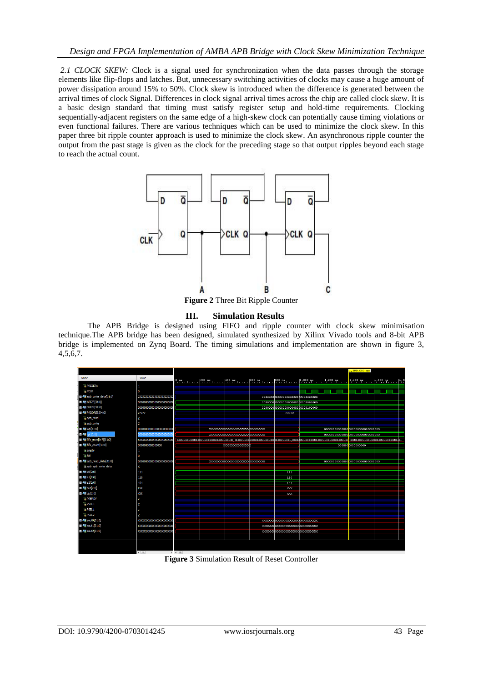*2.1 CLOCK SKEW:* Clock is a signal used for synchronization when the data passes through the storage elements like flip-flops and latches. But, unnecessary switching activities of clocks may cause a huge amount of power dissipation around 15% to 50%. Clock skew is introduced when the difference is generated between the arrival times of clock Signal. Differences in clock signal arrival times across the chip are called clock skew. It is a basic design standard that timing must satisfy register setup and hold-time requirements. Clocking sequentially-adjacent registers on the same edge of a high-skew clock can potentially cause timing violations or even functional failures. There are various techniques which can be used to minimize the clock skew. In this paper three bit ripple counter approach is used to minimize the clock skew. An asynchronous ripple counter the output from the past stage is given as the clock for the preceding stage so that output ripples beyond each stage to reach the actual count.



**Figure 2** Three Bit Ripple Counter

### **III. Simulation Results**

The APB Bridge is designed using FIFO and ripple counter with clock skew minimisation technique.The APB bridge has been designed, simulated synthesized by Xilinx Vivado tools and 8-bit APB bridge is implemented on Zynq Board. The timing simulations and implementation are shown in figure 3, 4,5,6,7.



**Figure 3** Simulation Result of Reset Controller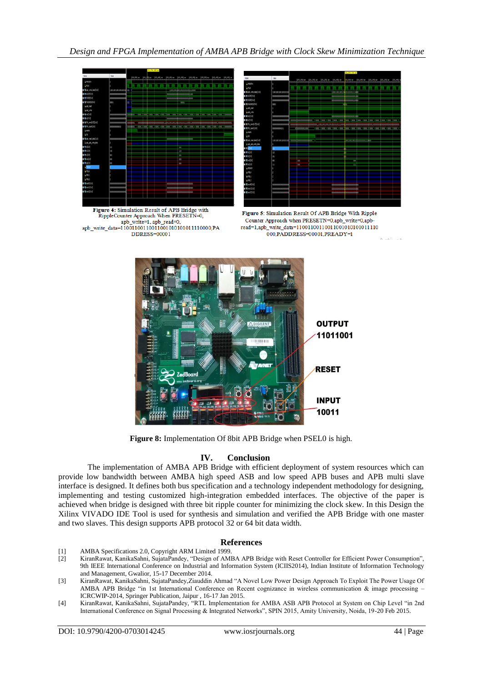

Figure 4: Simulation Result of APB Bridge with RippleCounter Approach When PRESETN=0, app write=1 app read=0 apb write data=11001100110011001010101011110000,PA DDRESS=00001



Figure 5: Simulation Result Of APB Bridge With Ripple Counter Approach when PRESETN=0,apb\_write=0,apbread=1,apb\_write\_data=11001100110011001010101011110 000, PADDRESS=00001, PREADY=1



**Figure 8:** Implementation Of 8bit APB Bridge when PSEL0 is high.

# **IV. Conclusion**

The implementation of AMBA APB Bridge with efficient deployment of system resources which can provide low bandwidth between AMBA high speed ASB and low speed APB buses and APB multi slave interface is designed. It defines both bus specification and a technology independent methodology for designing, implementing and testing customized high-integration embedded interfaces. The objective of the paper is achieved when bridge is designed with three bit ripple counter for minimizing the clock skew. In this Design the Xilinx VIVADO IDE Tool is used for synthesis and simulation and verified the APB Bridge with one master and two slaves. This design supports APB protocol 32 or 64 bit data width.

### **References**

- [1] AMBA Specifications 2.0, Copyright ARM Limited 1999.
- [2] KiranRawat, KanikaSahni, SujataPandey, "Design of AMBA APB Bridge with Reset Controller for Efficient Power Consumption", 9th IEEE International Conference on Industrial and Information System (ICIIS2014), Indian Institute of Information Technology and Management, Gwalior, 15-17 December 2014.
- [3] KiranRawat, KanikaSahni, SujataPandey,Ziauddin Ahmad "A Novel Low Power Design Approach To Exploit The Power Usage Of AMBA APB Bridge "in 1st International Conference on Recent cognizance in wireless communication & image processing – ICRCWIP-2014, Springer Publication, Jaipur , 16-17 Jan 2015.
- [4] KiranRawat, KanikaSahni, SujataPandey, "RTL Implementation for AMBA ASB APB Protocol at System on Chip Level "in 2nd International Conference on Signal Processing & Integrated Networks", SPIN 2015, Amity University, Noida, 19-20 Feb 2015.